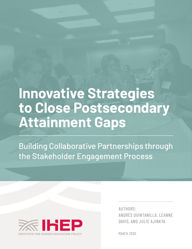# **Innovative Strategies to Close Postsecondary Attainment Gaps**

Building Collaborative Partnerships through the Stakeholder Engagement Process



AUTHORS: ANDRÉS QUINTANILLA, LEANNE DAVIS, AND JULIE AJINKYA

MARCH 2020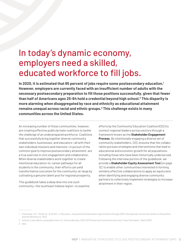# In today's dynamic economy, employers need a skilled, educated workforce to fill jobs.

**In 2020, it is estimated that 65 percent of jobs require some postsecondary education.1 However, employers are currently faced with an insufficient number of adults with the necessary postsecondary preparation to fill those positions successfully, given that fewer than half of Americans ages 25-64 hold a credential beyond high school.2 This disparity is more alarming when disaggregated by race and ethnicity as educational attainment remains unequal across racial and ethnic groups.3 This challenge exists in many communities across the United States.**

An increasing number of those communities, however, are creating effective public/private coalitions to tackle the challenge of an underprepared workforce. Coalitions that successfully bring together diverse community stakeholders, businesses, and educators—all with their own individual missions and interests—in pursuit of the common goal to improve postsecondary attainment, are a true exercise in civic engagement and collaboration. When diverse stakeholders work together to create intentional education-to-career pathways for all students in the community, their efforts can yield transformative outcomes for the community-at-large by cultivating a genuine talent pool for regional prosperity.

This guidebook takes a deep dive into one such community—the southeast Indiana region—to examine efforts by the Community Education Coalition (CEC) to connect regional leaders across sectors through a framework known as the **Stakeholder Engagement Process**. By intentionally engaging a diverse set of community stakeholders, CEC ensures that the collaboration pursues strategies and interventions that lead to educational and economic growth for all populations, including those who have been historically underserved. Following the interview portion of the guidebook, we provide a **Stakeholder Equity Assessment Tool** [on page 12] to enable other communities interested in forming similarly effective collaborations to apply an equity lens when identifying and engaging diverse community partners to collectively implement strategies to increase attainment in their region.

<sup>1</sup> Carnevale, A.P., Smith, N., & Strohl, J. *Recovery: Job growth and education requirements through 2020*. Georgetown University Center on Education and the Workforce, 2013.

<sup>2</sup> Author's calculation using data from U.S. Census Bureau, 2013-2017 American Community Survey 5-Year Estimates, Table S1501.

<sup>3</sup> Ibid.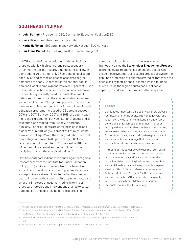# **SOUTHEAST INDIANA**

- **• John Burnett** President & CEO, Community Education Coalition (CEC)
- **• Jack Hess** Executive Director, CivicLab
- **• Kathy Huffman** EcO Attainment Network Manager, EcO Network
- **• Luz Elena Michel** Latino Program & Outreach Manager, CEC

In 2010, several of the counties in southeast Indiana grappled with low high school and postsecondary attainment rates, particularly among Latinx and low-income adults. At the time, only 27 percent of local adults ages 25-64 had earned at least an associate degree,<sup>4</sup> compared to nearly 42 percent of the national population,<sup>5</sup> and local unemployment was over 10 percent.<sup>6</sup> Over the last decade, however, southeast Indiana has moved the needle significantly on educational attainment, Latinx enrollment within the adult educational system, and unemployment. Thirty-three percent of adults now have an associate degree, and Latinx enrollment in adult education programs increased by 22 percent between 2016 and 2017. Between 2007 and 2018, the equity gap in high school graduation between Latinx students and all students also dropped from 16.6 to 3.5 percent.7 Similarly, Latinx students are enrolling in college at a higher rate. In 2011, only 39 percent of Latinx students enrolled in college 12 months after graduation, and that percentage increased to 69 percent in 2016.<sup>8</sup> Finally, regional unemployment fell to 2.5 percent in 2019, with 93 percent of credential earners employed in the discipline in which they received training.9

How has southeast Indiana made such significant gains? Researchers from the Institute for Higher Education Policy (IHEP) spoke with leaders from the Talent Hub effort in southeast Indiana to learn precisely how they engaged diverse stakeholders to further the common goal of increasing their community attainment rates and what this improved engagement led to, in terms of practical strategies and interventions that led to better outcomes. To engage stakeholders in addressing

complex social problems, partners use a unique framework called the **Stakeholder Engagement Process** to first cultivate relationships among the people who shape those systems. Using such a process allows for the genuine co-creation of concrete strategies that move the needle on key metrics and outcomes while simultaneously building the region's sustainable, collective capacity to address other problems that may arise.

### **LATINX**

T

I. I. I.

I

T

Т

f, T. Language is important, particularly when we discuss identity. In promoting equity, IHEP engages with and reports on a wide variety of historically underrepresented and underserved communities. In all of our work, particularly as it relates to these communities, we endeavor to be inclusive, accurate, and respectful. As researchers, we also aim, where possible and appropriate, to use language that is consistent across data sets and in research conversations.

п T

Ī.

T

T.

Ľ

T

Ĩ.

I.

Throughout this guidebook, we use the term "Latinx" as a gender-inclusive term in reference to people with Latin American and/or Hispanic cultural or racial identities, including Latinos and Latinas but also individuals with non-binary or gender-expansive identities. This term also encompasses the federal definition of "Hispanic" in U.S census data and we use the term "Hispanic" interchangeably when discussing federal data and/or source materials that use this terminology.

<sup>4</sup> Author's calculation using data from U.S. Census Bureau, American Community Survey 5-Year Estimates, Table S1501.

<sup>5</sup> Author's calculation using data from U.S. Census Bureau, Educational Attainment in the United States: 2010, Table1.

<sup>6</sup> EcONetwork's Analysis of Indiana Department of Workforce Development Data. 2019.

<sup>7</sup> Community Education Coalition Latino Education Group's Analysis of Indiana Department of Education Data. 2019.

<sup>8</sup> Ibid.

<sup>9</sup> EcONetwork's Analysis of Indiana Department of Workforce Development Data. 2019.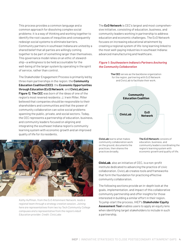This process provides a common language and a common approach for dissolving complex social problems; it is a way of thinking and working together to identify the root causes of inequities and consequently redesign social systems to eliminate barriers. Community partners in southeast Indiana are united by a shared belief that all parties are willingly coming together to be part of something larger than themselves. This governance model relies on an ethic of *stewardship*—a willingness to be held accountable for the well-being of the larger system by operating in the spirit of service, rather than control.

The Stakeholder Engagement Process is primarily led by three main partnerships in the region: the **Community Education Coalition (CEC)**; the **Economic Opportunities through Education (EcO) Network**; and **CivicLab [see Figure 1]**. **The CEC** was born of the ideas of one of the region's most revered residents: J. Irwin Miller. Miller believed that companies should be responsible to their shareholders and communities and that the power of community collaboration can solve social problems spanning the public, private, and social sectors. Today, the CEC represents a partnership of education, business, and community leaders focused on aligning and integrating the southeast Indiana region's community learning system with economic growth and an improved quality of life for its residents.



*Kathy Huffman, from the EcO Attainment Network, leads a regional team through a strategy creation session. Joining here are representatives from two Ivy Tech Community College campuses and a representative from the region's Adult Education provider. Credit: CivicLabs*

The **EcO Network** is CEC's largest and most comprehensive initiative, consisting of education, business, and community leaders working in partnership to address education and economic challenges. The EcO Network focuses on increasing educational attainment by creating a regional system of life-long learning linked to the most well-paying industries in southeast Indiana: advanced manufacturing and healthcare.

### *Figure 1: Southeastern Indiana's Partners Anchoring the Community Collaboration*



community collaboration work on the ground, documents the practices, then shares the practices broadly.

community leaders coordinating the region's learning system with economic growth and quality of life.

**CivicLab**, also an initiative of CEC, is a non-profit institute dedicated to advancing the practice of civic collaboration. CivicLab creates tools and frameworks that form the foundation for practicing effective community collaboration.

The following sections provide an in-depth look at the goals, implementation, and impact of this collaborative community partnership and offer insights for those interested in building a similar effort in their region. To jump-start the process, IHEP's **Stakeholder Equity Assessment Tool** enables users to apply an equity lens when identifying target stakeholders to include in such a partnership.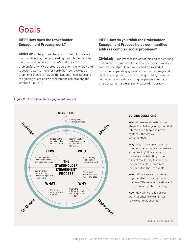# Goals

# **IHEP: How does the Stakeholder Engagement Process work?**

**CivicLab –** The process begins with identifying a key community issue, then proceeding through the steps to identify stakeholders (the "who"), understand the problem (the "why"), co-create a solution (the "what"), and redesign a way to move forward (the "how"). We use a graphic to illustrate how we think about these steps and the guiding questions we recommend asking along the way [see Figure 2].

# **IHEP: How do you think the Stakeholder Engagement Process helps communities address complex social problems?**

**CivicLab –** The Process is a way of thinking and working that creates a paradigm shift in how communities address complex social problems. We think of it as a kind of "community operating system," a common language and disciplined approach to transforming social systems by cultivating relationships among the people who shape those systems. It's a true participatory democracy.

### *Figure 2: The Stakeholder Engagement Process*



### **GUIDING QUESTIONS**

**Who:** Whose relationships most shape the challenge or system that interests us? Keep in mind the system is the way we work together.

**Why:** Why is the current context creating the outcomes that we are experiencing? How are we ourselves contributing to the current reality? Try to make the invisible, visible. If it remains invisible, it will be unsolvable.

**What:** What can we co-create together that no one can do on their own? Remember creation and design are not problem-solving.

**How:** How will we redesign our work together? How might we rewire our relationships?

DEVELOPED BY CIVICLAB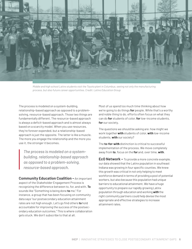

*Middle and high school Latinx students visit the Toyota plant in Columbus, seeing not only the manufacturing process, but also future career opportunities. Credit: Latino Education Group*

The process is modeled on a system-building, relationship-based approach as opposed to a problemsolving, resource-based approach. Those two things are fundamentally different. The resource-based approach is always a deficit-based approach and is almost always based on a scarcity model. When you use resources, they're forever expended, but a relationship-based approach is just the opposite. The latter is like a muscle. The more you engage the relationship and the more you use it, the stronger it becomes.

*The process is modeled on a systembuilding, relationship-based approach as opposed to a problem-solving, resource-based approach.* 

**Community Education Coalition –** An important aspect of the Stakeholder Engagement Process is recognizing the difference between to, for, and with. **To** sounds like "Something is being done **to** me." For instance, a group that has been focusing on community data says "our postsecondary education attainment rates are not high enough. Let's go find others **to** hold accountable for improving the success of the postsecondary education outcomes." This is where collaboration gets stuck. We don't subscribe to that at all.

Most of us spend too much time thinking about how we're going to do things **for** people. While that's a worthy and noble thing to do, efforts often focus on what they can do **for** students of color, **for** low-income students, **for** our society.

The questions we should be asking are: how might we work together **with** students of color, **with** low-income students, **with** our society?

The **to-for-with** distinction is critical to successful implementation of the process. We move completely away from **to**, focus on the **for** and, over time, **with**.

**EcO Network –** To provide a more concrete example, our data showed that the Latinx population in southeast Indiana was growing in four specific counties. We knew this growth was critical in not only helping to meet workforce demand in terms of providing a pool of potential workers, but also because this population had unique barriers to educational attainment. We have a huge opportunity to prepare our rapidly growing Latinx population through education and working *with* the right community partners could help devise the most appropriate and effective strategies to increase attainment rates.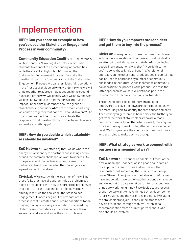# Implementation

**IHEP: Can you share an example of how you've used the Stakeholder Engagement Process in your community?**

**Community Education Coalition –** For instance, we try to answer, "How might we better serve Latinx students to connect to postsecondary opportunities while they're still in high school?" by using the Stakeholder Engagement Process. If we take that question through the four quadrants of the Stakeholder Engagement Process, we can start identifying solutions. In the first quadrant labeled **who**, we identify who we will bring together to address that question. In the second quadrant, or the **why**, we identify what we know and what we don't know about the community we are trying to impact. In the third quadrant, we ask the group of stakeholders to consider **what** are the most vital things we could do together that none of us could do alone? The fourth quadrant is **how** - how do we activate the response to that question through time, talent, treasure, and make something go?

## **IHEP: How do you decide which stakeholders should be involved?**

**EcO Network –** We often say that "we go where the energy is;" we identify the partners possessing energy around the common challenge we want to address. As time passes and the partnership progresses, the partners ebb and flow based on the challenge we've agreed we want to address.

**CivicLab –** We start with the "coalition of the willing," those folks that have already identified a problem but might be struggling with how to address the problem. At that point, after the stakeholders themselves have already identified the challenge, the Stakeholder Engagement Process begins. The strength of the process is that it creates and sustains conditions for an ongoing dialogue in a very systematic, disciplined way. Under these circumstances, the stakeholders themselves can address and solve their own problems.

## **IHEP: How do you empower stakeholders and get them to buy into the process?**

**CivicLab –** Imagine two different approaches: transactional versus relational. The transactional mindset is an attempt to sell things and create buy-in; convincing people in a transactional way that "if you do this, then you'll receive these kinds of benefits." A relational approach, on the other hand, produces social capital that can be used to approach any number of community challenges in the future. When it comes to community collaboration, the process is the product. We take the latter approach as we believe relationships are the foundation to effective community partnerships.

The stakeholders closest to the work must be empowered to solve their own problems because they are most likely able to identify the root causes correctly. The further you get from the beneficiary, the further you get from the work of stakeholders who are already committed. We've found that what's usually missing is a process or a way of working together at the stakeholder level. We just go where the energy is and support those who are trying to make positive change.

# **IHEP: What strategies work to connect with partners in a meaningful way?**

**EcO Network –** It sounds so simple, but most of the time a meaningful connection is a phone call or a visit. Our approach is one-on-one and focuses on the relationship, not something that starts from the top down. Stakeholders join us at the table long before we have any solution. We come together around a challenge and we look at the data—what does it tell us about how things are working right now? We decide together as a group how we want to make things better, describe the future we want, and then prioritize projects. By inviting the stakeholders to join us early in the process, we develop trust and, through that, we'll often get a recommendation from a current partner about who else should be involved.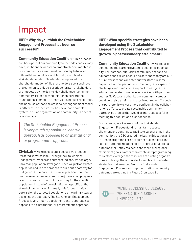# Impact

**IHEP: Why do you think the Stakeholder Engagement Process has been so successful?**

**Community Education Coalition -** This process has been part of our community for decades and we may have just been the ones who proactively documented it. Our community was extraordinarily lucky to have an influential leader, J. Irwin Miller, who exercised a stakeholder model of leadership as opposed to a shareholder model. While shareholders see a business or a community only as a profit generator, stakeholders are impacted by the day-to-day challenges facing the community. Miller believed relationships were the foundational element to create value, not just resources, and because of that, the stakeholder engagement model is different. In other words, he knew that a complex system, be it an organization or a community, is a set of relationships.

*The Stakeholder Engagement Process is very much a population-centric approach as opposed to an institutional or programmatic approach.*

**CivicLab –** We're successful because we practice "targeted universalism." Through the Stakeholder Engagement Process in southeast Indiana, we set large, universal, population-level goals. Then we pick a targeted population and use the process to build out a pathway for that group. A comparative business practice would be customer-experience or customer-journey mapping. As a team, our goal is to map out the journey for the specific population. Instead of being institution-specific or the stakeholders focusing internally, this forces the view outward on the targeted population as the primary way of designing the approach. The Stakeholder Engagement Process is very much a population-centric approach as opposed to an institutional or programmatic approach.

**IHEP: What specific strategies have been developed using the Stakeholder Engagement Process that contributed to growth in postsecondary attainment?**

**Community Education Coalition -** We focus on connecting the learning system to economic opportunity. For instance, our Latinx community needs to be educated and skilled because as data show, they are our future workers and will enter our workforce in some capacity. But this part of our community faces specific challenges and needs more support to navigate the educational system. We believed working with partners such as Su Casa and other Latinx community groups could help raise attainment rates in our region. Through this partnership we were more confident in the collaboration's efforts to create sustainable community outreach strategies that would be more successful in meeting this population's distinct needs.

For instance, as a key result of the Stakeholder Engagement Process (and to maintain resource alignment and continue to facilitate partnerships in the community), the CEC created the Latino Education and Outreach program to bring together stakeholders and sustain authentic relationships to improve educational outcomes for Latinx residents and meet our regional attainment goals. Rather than create *new* programming, this effort leverages the resources of existing organizations and brings them to scale. Examples of concrete strategies that emerged from the Stakeholder Engagement Process and improved Latinx community outcomes are outlined in Figure 3 [on page 9].

> WE'RE SUCCESSFUL BECAUSE WE PRACTICE "TARGETED UNIVERSALISM."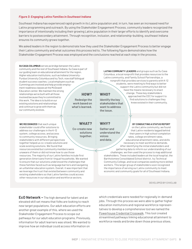### *Figure 3: Engaging Latinx Families in Southeast Indiana*

Southeast Indiana has experienced rapid growth in its Latinx population and, in turn, has seen an increased need for Latinx programming and outreach. By using the Stakeholder Engagement Process, community leaders recognized the importance of intentionally including their growing Latinx population in their larger efforts to identify and overcome barriers to postsecondary attainment. Through recognition, inclusion, and relationship-building, southeast Indiana ensures its community grows together.

We asked leaders in the region to demonstrate how they used the Stakeholder Engagement Process to better engage their Latinx community and what outcomes this process led to. The following figure demonstrates how the Stakeholder Engagement Process was employed and the conclusions reached at each step in the process.

**SU CASA COLUMBUS** serves as bridge between the Latinx community and the rest of Southeast Indiana. Su Casa is part of our guiding team on educational attainment for the region. Higher education institutions, such as Indiana University-Purdue University Columbus and Ivy Tech, now staff bilingual student success coaches. Local employers such as Cummings are involved and help provide employment readiness classes at the McDowell Education center. We maintain the strong relationships we've built with all those involved because they're committed to this work. The idea is to build on our existing solutions and relationships and continue to grow with them as our community evolves.

**WE RECOGNIZED** that each unique stakeholder could offer solutions to address our challenges in the K-12 system, college access, and access to community resources. Bringing stakeholders with different perspectives together helped us co-create solutions and scale existing solutions. We found that resources existed but community members were unaware of them or did not know how to use those resources. The majority of our Latinx families include first generation Americans from bi-lingual households. We wanted to ensure that our solutions understood the challenges that these families faced such as language barriers and navigating an unfamiliar education system. Overall, it was important that we leverage the trust that existed between community and existing stakeholders so that Latinx families could access other resources in our education and workforce sectors.

## **HOW?**

**Redesign the work based on what's learned.**

. . . . . . . . . . . . . . . . .

## **WHAT?**

**Co-create new solutions together.** 

**LATINX COMMUNITY LEADERS** and groups such as Su Casa Columbus, a local nonprofit that provides resources to the Latinx community, and Family School Partnerships, a nonprofit that provides services to parents with K-12 students, were meeting to find ways to better support the Latinx community but did not have the means necessary to enact change. These key stakeholders

### **WHO?**

**Identify the key stakeholders that want to address**  approached the CEC for support to find solutions to challenges they knew existed in their community.

## **WHY?**

**the issue.**

**Gather and understand the voices and data.** 

. . . . . . . . . . . . . . . . . . .

### **BY CONDUCTING A STATUS REPORT**

on the Latinx community, we found that Latinx residents lagged behind their peers in high school completion rates, college enrollment rates, educational attainment rates, and skills necessary to meet workforce demands.

After identifying the initial stakeholders and gathering data to inform our understanding of our challenges, we then used the process to map additional stakeholders. These included leaders at the local hospital, the Bartholomew Consolidated School district, Ivy Technical Community College, and local companies seeking more skilled workers. This larger group of stakeholders soon recognized the importance of serving our Latinx community to meet economic and community goals for all of Southeast Indiana.

DEVELOPED BY CIVICLAB

**EcO Network –** The high demand for talent and an elevated skill set means that folks are looking to reach new target populations. Our adult education efforts are another great example of this, where we used the Stakeholder Engagement Process to scope out pathways for our adult education programs. Previously, information for adult learners was siloed. We wanted to improve how an individual could access information on

which credentials were needed for regionally in-demand jobs. Through this process we were able to gather higher education institutions and regional workforce representatives to develop a comprehensive tool we named the [Powerhouse Credential Crosswalk](http://econetworks.org/wp-content/uploads/Powerhouse-Credential-Crosswalk-FINAL-PUBLIC-DISTRIBUTION-5_22_2018-PDF.pdf). This tool created streamlined pathways linking educational attainment to workforce needs and broke down those previous siloes.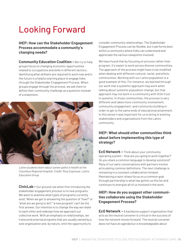# Looking Forward

## **IHEP: How can the Stakeholder Engagement Process accommodate a community's changing needs?**

**Community Education Coalition -** We try to help groups focus on changing economic opportunities related to occupations and skills in different sectors. Identifying what skillsets are required to work now and in the future is a helpful starting place to engage folks through the Stakeholder Engagement Process. When groups engage through the process, we ask them to define their community challenge as a question instead of a statement.



*Latinx students learn about career paths in health at the Columbus Regional Hospital. Credit: Rosy Espinosa, Latino Education Group*

**CivicLab –** Our ground rule when first introducing the stakeholder engagement process is no new programs. We want to examine what types of programs currently exist. When we get to answering the question of "how?" or "what are we going to do?," "a new program" can't be the first answer. Our intention is to change the way we relate to each other and redesign how we approach our collective work. With an emphasis on relationships, we transcend external programs that are usually owned by a sole organization and, by nature, omit the opportunity to

consider community relationships. The Stakeholder Engagement Process can be flexible, but it performs best within a community where folks can understand and appreciate the various viewpoints involved.

We have found that by focusing on process rather than program, it's easier to work across diverse communities. The approach of the process might have to be modified when dealing with different cultural, racial, and ethnic communities. Working with our Latinx population is a good example of this. For instance, we learned through our work that a systemic approach may work when talking about systemic population change, but that approach may not work in a community with little trust in systems. In those communities, the process is very different and takes more community involvement, community engagement, and community building in order to get to the same ends of educational attainment. In this sense it was important for us to bring in existing stakeholders and organizations from the Latinx community.

# **IHEP: What should other communities think about before implementing this type of strategy?**

**EcO Network –** Think about your community operating system - How are you going to work together? Do you share a common language to develop solutions? Many of our early conversations with partners involve articulating common definitions. The next challenge is remaining in a constant collaborative mindset. Maintaining a razor-sharp focus on a common goal through partnership is what has gotten us this far and continues to energize all of us involved in the work.

## **IHEP: How do you suggest other communities collaborate using the Stakeholder Engagement Process?**

**EcO Network –** A backbone support organization that acts as the neutral convener is critical in the success of how the network moves forward. The neutral convener does not have an agenda but is knowledgeable about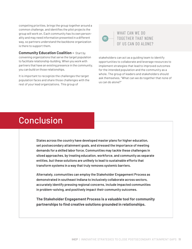competing priorities, brings the group together around a common challenge, and identifies the pilot projects the group will work on. Each community has its own personality and may need information presented in a different way, so partners understand the backbone organization is there to support them.

**Community Education Coalition – Start by** convening organizations that serve the target population to facilitate relationship-building. When you work with partners that have an existing presence in the community, you can build on those relationships.

It is important to recognize the challenges the target population faces and share those challenges with the rest of your lead organizations. This group of

WHAT CAN WE DO TOGETHER THAT NONE OF US CAN DO ALONE?

stakeholders can act as a guiding team to identify opportunities to collaborate and leverage resources to implement strategies that lead to improved outcomes for the intended population and the community as a whole. The group of leaders and stakeholders should ask themselves, "What can we do together that none of us can do alone?"

# Conclusion

States across the country have developed master plans for higher education, set postsecondary attainment goals, and stressed the importance of meeting demands for a skilled labor force. Communities may tackle these challenges in siloed approaches, by treating education, workforce, and community as separate entities, but these solutions are unlikely to lead to sustainable efforts that transform systems in a way that truly removes systemic barriers.

Alternately, communities can employ the Stakeholder Engagement Process as demonstrated in southeast Indiana to inclusively collaborate across sectors, accurately identify pressing regional concerns, include impacted communities in problem-solving, and positively impact their community outcomes.

**The Stakeholder Engagement Process is a valuable tool for community partnerships to find creative solutions grounded in relationships.**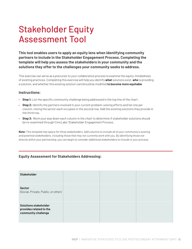# Stakeholder Equity Assessment Tool

**This tool enables users to apply an equity lens when identifying community partners to include in the Stakeholder Engagement Process. Completing the template will help you assess the stakeholders in your community and the solutions they offer to the challenges your community seeks to address.**

This exercise can serve as a *precursor* to your collaborative process to examine the equity-mindedness of existing practices. Completing this exercise will help you identify **what** solutions exist, **who** is providing a solution, and whether this existing solution can/should be modified **to become more equitable**.

## **Instructions:**

- **• Step 1:** List the specific community challenge being addressed in the top line of the chart.
- **• Step 2:** Identify the partners involved in your current problem-solving efforts and list one per column, noting the sector each occupies in the second row. Add the existing solutions they provide in the third row.
- **• Step 3:** Work your way down each column in the chart to determine if stakeholder solutions should be re-examined through CivicLabs' Stakeholder Engagement Process.

*Note: This template has space for three stakeholders. Add columns to include all of your community's existing and potential stakeholders, including those that may not currently work with you. By identifying those not directly within your partnership, you can begin to consider additional stakeholders to include in your process.* 

## **Equity Assessment for Stakeholders Addressing:**

| <b>Stakeholder</b>                                                             |  |  |
|--------------------------------------------------------------------------------|--|--|
| Sector<br>(Social, Private, Public, or other)                                  |  |  |
| <b>Solutions stakeholder</b><br>provides related to the<br>community challenge |  |  |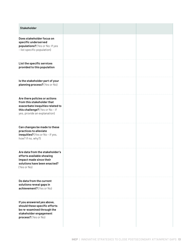| <b>Stakeholder</b>                                                                                                                                               |  |  |
|------------------------------------------------------------------------------------------------------------------------------------------------------------------|--|--|
| Does stakeholder focus on<br>specific underserved<br>populations? (Yes or No; If yes<br>- list specific population)                                              |  |  |
| List the specific services<br>provided to this population                                                                                                        |  |  |
| Is the stakeholder part of your<br>planning process? (Yes or No)                                                                                                 |  |  |
| Are there policies or actions<br>from this stakeholder that<br>exacerbate inequities related to<br>this challenge? (Yes or No-if<br>yes, provide an explanation) |  |  |
| Can changes be made to these<br>practices to alleviate<br>inequities? (Yes or No - if yes,<br>how? If no, why?)                                                  |  |  |
| Are data from the stakeholder's<br>efforts available showing<br>impact made since their<br>solutions have been enacted?<br>(Yes or No)                           |  |  |
| Do data from the current<br>solutions reveal gaps in<br>achievement? (Yes or No)                                                                                 |  |  |
| If you answered yes above,<br>should these specific efforts<br>be re-examined through the<br>stakeholder engagement<br>process? (Yes or No)                      |  |  |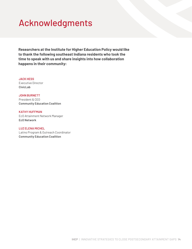# Acknowledgments

**Researchers at the Institute for Higher Education Policy would like to thank the following southeast Indiana residents who took the time to speak with us and share insights into how collaboration happens in their community:**

### **JACK HESS**

Executive Director **CivicLab** 

### **JOHN BURNETT**

President & CEO **Community Education Coalition** 

### **KATHY HUFFMAN**

EcO Attainment Network Manager **EcO Network** 

### **LUZ ELENA MICHEL**

Latino Program & Outreach Coordinator **Community Education Coalition**